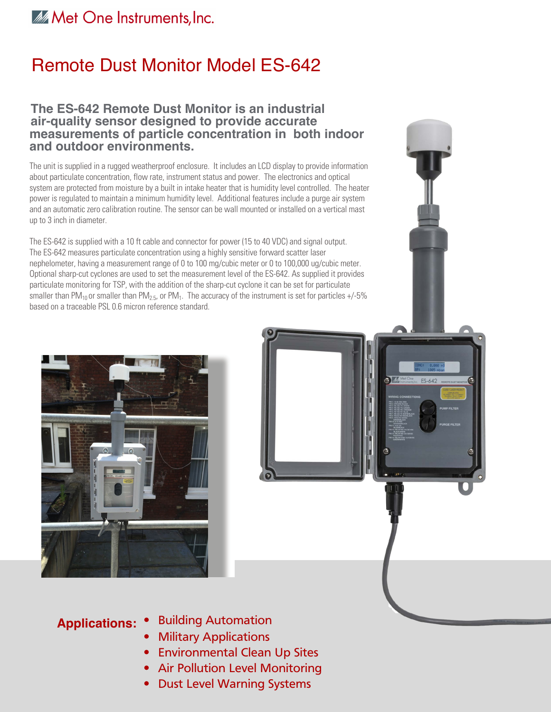### Met One Instruments, Inc.

## Remote Dust Monitor Model ES-642

#### **The ES-642 Remote Dust Monitor is an industrial air-quality sensor designed to provide accurate measurements of particle concentration in both indoor and outdoor environments.**

The unit is supplied in a rugged weatherproof enclosure. It includes an LCD display to provide information about particulate concentration, flow rate, instrument status and power. The electronics and optical system are protected from moisture by a built in intake heater that is humidity level controlled. The heater power is regulated to maintain a minimum humidity level. Additional features include a purge air system and an automatic zero calibration routine. The sensor can be wall mounted or installed on a vertical mast up to 3 inch in diameter.

The ES-642 is supplied with a 10 ft cable and connector for power (15 to 40 VDC) and signal output. The ES-642 measures particulate concentration using a highly sensitive forward scatter laser nephelometer, having a measurement range of 0 to 100 mg/cubic meter or 0 to 100,000 ug/cubic meter. Optional sharp-cut cyclones are used to set the measurement level of the ES-642. As supplied it provides particulate monitoring for TSP, with the addition of the sharp-cut cyclone it can be set for particulate smaller than PM<sub>10</sub> or smaller than PM<sub>2.5</sub>, or PM<sub>1</sub>. The accuracy of the instrument is set for particles +/-5% based on a traceable PSL 0.6 micron reference standard.





- **Applications:** Building Automation
	- Military Applications
	- Environmental Clean Up Sites
	- Air Pollution Level Monitoring
	- Dust Level Warning Systems